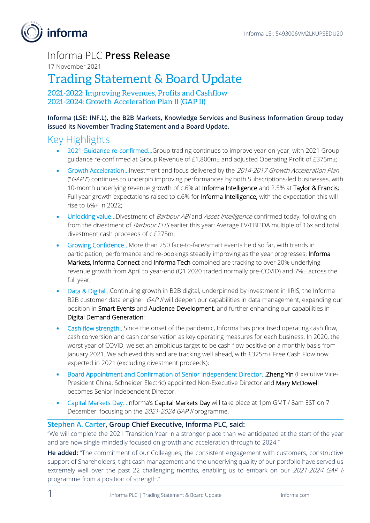informa

# Informa PLC **Press Release**

17 November 2021

# Trading Statement & Board Update

2021-2022: Improving Revenues, Profits and Cashflow 2021-2024: Growth Acceleration Plan II (GAP II)

**Informa (LSE: INF.L), the B2B Markets, Knowledge Services and Business Information Group today issued its November Trading Statement and a Board Update.**

### Key Highlights

- 2021 Guidance re-confirmed...Group trading continues to improve year-on-year, with 2021 Group guidance re-confirmed at Group Revenue of £1,800m± and adjusted Operating Profit of £375m±;
- Growth Acceleration...Investment and focus delivered by the 2014-2017 Growth Acceleration Plan ("GAP I") continues to underpin improving performances by both Subscriptions-led businesses, with 10-month underlying revenue growth of c.6% at Informa Intelligence and 2.5% at Taylor & Francis; Full year growth expectations raised to c.6% for Informa Intelligence, with the expectation this will rise to 6%+ in 2022;
- Unlocking value...Divestment of Barbour ABI and Asset Intelligence confirmed today, following on from the divestment of Barbour EHS earlier this year; Average EV/EBITDA multiple of 16x and total divestment cash proceeds of c.£275m;
- Growing Confidence…More than 250 face-to-face/smart events held so far, with trends in participation, performance and re-bookings steadily improving as the year progresses; Informa Markets, Informa Connect and Informa Tech combined are tracking to over 20% underlying revenue growth from April to year-end (Q1 2020 traded normally pre-COVID) and 7%± across the full year;
- Data & Digital...Continuing growth in B2B digital, underpinned by investment in IIRIS, the Informa B2B customer data engine. *GAP II* will deepen our capabilities in data management, expanding our position in Smart Events and Audience Development, and further enhancing our capabilities in Digital Demand Generation;
- Cash flow strength…Since the onset of the pandemic, Informa has prioritised operating cash flow, cash conversion and cash conservation as key operating measures for each business. In 2020, the worst year of COVID, we set an ambitious target to be cash flow positive on a monthly basis from January 2021. We achieved this and are tracking well ahead, with £325m+ Free Cash Flow now expected in 2021 (excluding divestment proceeds);
- Board Appointment and Confirmation of Senior Independent Director... Zheng Yin (Executive Vice-President China, Schneider Electric) appointed Non-Executive Director and Mary McDowell becomes Senior Independent Director.
- Capital Markets Day...Informa's Capital Markets Day will take place at 1pm GMT / 8am EST on 7 December, focusing on the 2021-2024 GAP II programme.

### **Stephen A. Carter, Group Chief Executive, Informa PLC, said:**

"We will complete the 2021 Transition Year in a stronger place than we anticipated at the start of the year and are now single-mindedly focused on growth and acceleration through to 2024."

**He added:** "The commitment of our Colleagues, the consistent engagement with customers, constructive support of Shareholders, tight cash management and the underlying quality of our portfolio have served us extremely well over the past 22 challenging months, enabling us to embark on our 2021-2024 GAP li programme from a position of strength."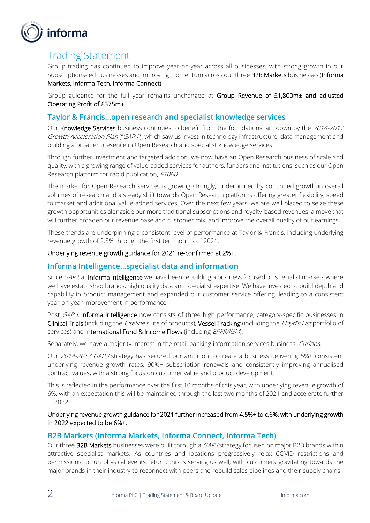

# Trading Statement

Group trading has continued to improve year-on-year across all businesses, with strong growth in our Subscriptions-led businesses and improving momentum across our three B2B Markets businesses (Informa Markets, Informa Tech, Informa Connect).

Group guidance for the full year remains unchanged at Group Revenue of £1,800m± and adjusted Operating Profit of £375m±.

### **Taylor & Francis…open research and specialist knowledge services**

Our Knowledge Services business continues to benefit from the foundations laid down by the 2014-2017 Growth Acceleration Plan ("GAP I"), which saw us invest in technology infrastructure, data management and building a broader presence in Open Research and specialist knowledge services.

Through further investment and targeted addition, we now have an Open Research business of scale and quality, with a growing range of value-added services for authors, funders and institutions, such as our Open Research platform for rapid publication, F1000.

The market for Open Research services is growing strongly, underpinned by continued growth in overall volumes of research and a steady shift towards Open Research platforms offering greater flexibility, speed to market and additional value-added services. Over the next few years. we are well placed to seize these growth opportunities alongside our more traditional subscriptions and royalty-based revenues, a move that will further broaden our revenue base and customer mix, and improve the overall quality of our earnings.

These trends are underpinning a consistent level of performance at Taylor & Francis, including underlying revenue growth of 2.5% through the first ten months of 2021.

#### Underlying revenue growth guidance for 2021 re-confirmed at 2%+.

### **Informa Intelligence…specialist data and information**

Since GAP I, at Informa Intelligence we have been rebuilding a business focused on specialist markets where we have established brands, high quality data and specialist expertise. We have invested to build depth and capability in product management and expanded our customer service offering, leading to a consistent year-on-year improvement in performance.

Post GAP I, Informa Intelligence now consists of three high performance, category-specific businesses in Clinical Trials (including the *Citeline* suite of products), Vessel Tracking (including the Lloyd's List portfolio of services) and International Fund & Income Flows (including EPFR/IGM).

Separately, we have a majority interest in the retail banking information services business, Curinos.

Our 2014-2017 GAP I strategy has secured our ambition to create a business delivering 5%+ consistent underlying revenue growth rates, 90%+ subscription renewals and consistently improving annualised contract values, with a strong focus on customer value and product development.

This is reflected in the performance over the first 10 months of this year, with underlying revenue growth of 6%, with an expectation this will be maintained through the last two months of 2021 and accelerate further in 2022.

Underlying revenue growth guidance for 2021 further increased from 4.5%+ to c.6%, with underlying growth in 2022 expected to be 6%+.

### **B2B Markets (Informa Markets, Informa Connect, Informa Tech)**

Our three B2B Markets businesses were built through a GAP / strategy focused on major B2B brands within attractive specialist markets. As countries and locations progressively relax COVID restrictions and permissions to run physical events return, this is serving us well, with customers gravitating towards the major brands in their industry to reconnect with peers and rebuild sales pipelines and their supply chains.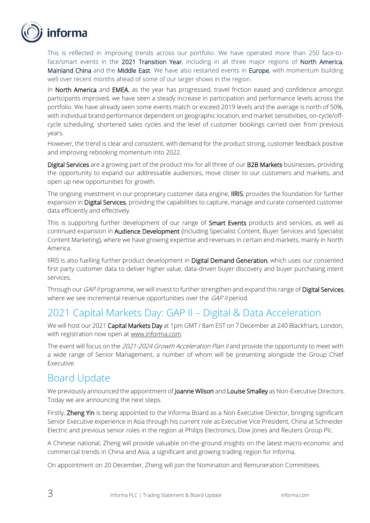

This is reflected in improving trends across our portfolio. We have operated more than 250 face-toface/smart events in the 2021 Transition Year, including in all three major regions of North America, Mainland China and the Middle East. We have also restarted events in Europe, with momentum building well over recent months ahead of some of our larger shows in the region.

In North America and EMEA, as the year has progressed, travel friction eased and confidence amongst participants improved, we have seen a steady increase in participation and performance levels across the portfolio. We have already seen some events match or exceed 2019 levels and the average is north of 50%, with individual brand performance dependent on geographic location, end market sensitivities, on-cycle/offcycle scheduling, shortened sales cycles and the level of customer bookings carried over from previous years.

However, the trend is clear and consistent, with demand for the product strong, customer feedback positive and improving rebooking momentum into 2022.

Digital Services are a growing part of the product mix for all three of our B2B Markets businesses, providing the opportunity to expand our addressable audiences, move closer to our customers and markets, and open up new opportunities for growth.

The ongoing investment in our proprietary customer data engine, **IIRIS**, provides the foundation for further expansion in Digital Services, providing the capabilities to capture, manage and curate consented customer data efficiently and effectively.

This is supporting further development of our range of **Smart Events** products and services, as well as continued expansion in Audience Development (including Specialist Content, Buyer Services and Specialist Content Marketing), where we have growing expertise and revenues in certain end markets, mainly in North America.

IIRIS is also fuelling further product development in Digital Demand Generation, which uses our consented first party customer data to deliver higher value, data-driven buyer discovery and buyer purchasing intent services.

Through our GAP II programme, we will invest to further strengthen and expand this range of Digital Services, where we see incremental revenue opportunities over the GAP II period.

# 2021 Capital Markets Day: GAP II – Digital & Data Acceleration

We will host our 2021 Capital Markets Day at 1pm GMT / 8am EST on 7 December at 240 Blackfriars, London, with registration now open at [www.informa.com.](http://www.informa.com/)

The event will focus on the 2021-2024 Growth Acceleration Plan II and provide the opportunity to meet with a wide range of Senior Management, a number of whom will be presenting alongside the Group Chief Executive.

### Board Update

We previously announced the appointment of Joanne Wilson and Louise Smalley as Non-Executive Directors. Today we are announcing the next steps.

Firstly, Zheng Yin is being appointed to the Informa Board as a Non-Executive Director, bringing significant Senior Executive experience in Asia through his current role as Executive Vice President, China at Schneider Electric and previous senior roles in the region at Philips Electronics, Dow Jones and Reuters Group Plc.

A Chinese national, Zheng will provide valuable on-the-ground insights on the latest macro-economic and commercial trends in China and Asia, a significant and growing trading region for Informa.

On appointment on 20 December, Zheng will join the Nomination and Remuneration Committees.